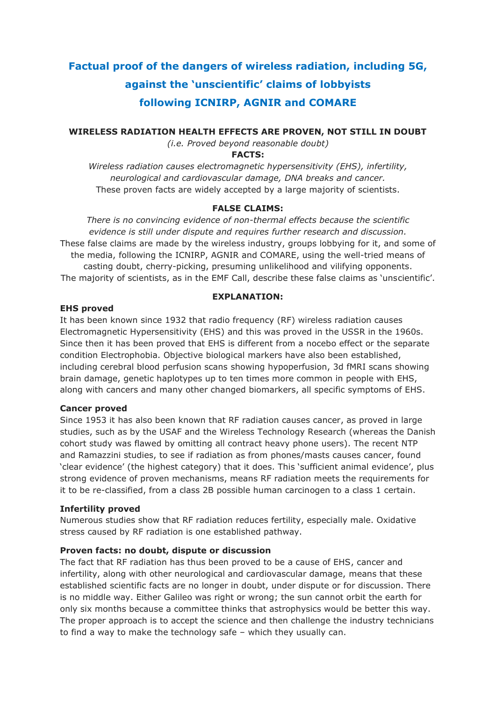# **Factual proof of the dangers of wireless radiation, including 5G, against the 'unscientific' claims of lobbyists following ICNIRP, AGNIR and COMARE**

**WIRELESS RADIATION HEALTH EFFECTS ARE PROVEN, NOT STILL IN DOUBT**

*(i.e. Proved beyond reasonable doubt)*

# **FACTS:**

*Wireless radiation causes electromagnetic hypersensitivity (EHS), infertility, neurological and cardiovascular damage, DNA breaks and cancer.* These proven facts are widely accepted by a large majority of scientists.

# **FALSE CLAIMS:**

*There is no convincing evidence of non-thermal effects because the scientific evidence is still under dispute and requires further research and discussion.* These false claims are made by the wireless industry, groups lobbying for it, and some of the media, following the ICNIRP, AGNIR and COMARE, using the well-tried means of casting doubt, cherry-picking, presuming unlikelihood and vilifying opponents. The majority of scientists, as in the EMF Call, describe these false claims as 'unscientific'.

### **EXPLANATION:**

# **EHS proved**

It has been known since 1932 that radio frequency (RF) wireless radiation causes Electromagnetic Hypersensitivity (EHS) and this was proved in the USSR in the 1960s. Since then it has been proved that EHS is different from a nocebo effect or the separate condition Electrophobia. Objective biological markers have also been established, including cerebral blood perfusion scans showing hypoperfusion, 3d fMRI scans showing brain damage, genetic haplotypes up to ten times more common in people with EHS, along with cancers and many other changed biomarkers, all specific symptoms of EHS.

# **Cancer proved**

Since 1953 it has also been known that RF radiation causes cancer, as proved in large studies, such as by the USAF and the Wireless Technology Research (whereas the Danish cohort study was flawed by omitting all contract heavy phone users). The recent NTP and Ramazzini studies, to see if radiation as from phones/masts causes cancer, found 'clear evidence' (the highest category) that it does. This 'sufficient animal evidence', plus strong evidence of proven mechanisms, means RF radiation meets the requirements for it to be re-classified, from a class 2B possible human carcinogen to a class 1 certain.

#### **Infertility proved**

Numerous studies show that RF radiation reduces fertility, especially male. Oxidative stress caused by RF radiation is one established pathway.

# **Proven facts: no doubt, dispute or discussion**

The fact that RF radiation has thus been proved to be a cause of EHS, cancer and infertility, along with other neurological and cardiovascular damage, means that these established scientific facts are no longer in doubt, under dispute or for discussion. There is no middle way. Either Galileo was right or wrong; the sun cannot orbit the earth for only six months because a committee thinks that astrophysics would be better this way. The proper approach is to accept the science and then challenge the industry technicians to find a way to make the technology safe – which they usually can.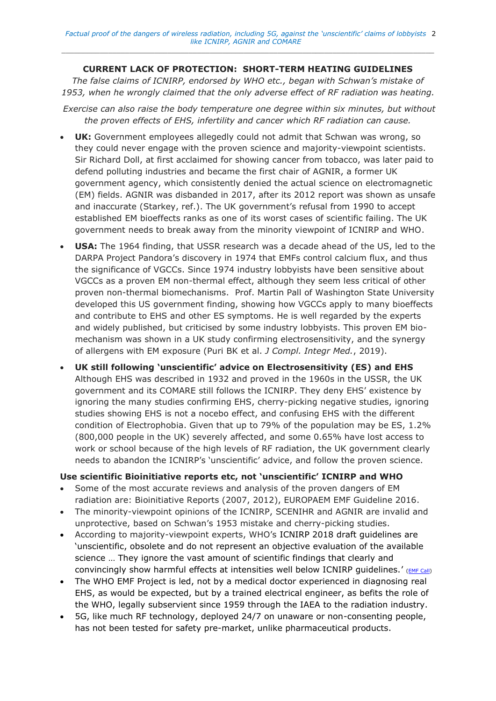# **CURRENT LACK OF PROTECTION: SHORT-TERM HEATING GUIDELINES**

*The false claims of ICNIRP, endorsed by WHO etc., began with Schwan's mistake of 1953, when he wrongly claimed that the only adverse effect of RF radiation was heating.*

*Exercise can also raise the body temperature one degree within six minutes, but without the proven effects of EHS, infertility and cancer which RF radiation can cause.*

- **UK:** Government employees allegedly could not admit that Schwan was wrong, so they could never engage with the proven science and majority-viewpoint scientists. Sir Richard Doll, at first acclaimed for showing cancer from tobacco, was later paid to defend polluting industries and became the first chair of AGNIR, a former UK government agency, which consistently denied the actual science on electromagnetic (EM) fields. AGNIR was disbanded in 2017, after its 2012 report was shown as unsafe and inaccurate (Starkey, ref.). The UK government's refusal from 1990 to accept established EM bioeffects ranks as one of its worst cases of scientific failing. The UK government needs to break away from the minority viewpoint of ICNIRP and WHO.
- **USA:** The 1964 finding, that USSR research was a decade ahead of the US, led to the DARPA Project Pandora's discovery in 1974 that EMFs control calcium flux, and thus the significance of VGCCs. Since 1974 industry lobbyists have been sensitive about VGCCs as a proven EM non-thermal effect, although they seem less critical of other proven non-thermal biomechanisms. Prof. Martin Pall of Washington State University developed this US government finding, showing how VGCCs apply to many bioeffects and contribute to EHS and other ES symptoms. He is well regarded by the experts and widely published, but criticised by some industry lobbyists. This proven EM biomechanism was shown in a UK study confirming electrosensitivity, and the synergy of allergens with EM exposure (Puri BK et al. *J Compl. Integr Med.*, 2019).
- **UK still following 'unscientific' advice on Electrosensitivity (ES) and EHS** Although EHS was described in 1932 and proved in the 1960s in the USSR, the UK government and its COMARE still follows the ICNIRP. They deny EHS' existence by ignoring the many studies confirming EHS, cherry-picking negative studies, ignoring studies showing EHS is not a nocebo effect, and confusing EHS with the different condition of Electrophobia. Given that up to 79% of the population may be ES, 1.2% (800,000 people in the UK) severely affected, and some 0.65% have lost access to work or school because of the high levels of RF radiation, the UK government clearly needs to abandon the ICNIRP's 'unscientific' advice, and follow the proven science.

# **Use scientific Bioinitiative reports etc, not 'unscientific' ICNIRP and WHO**

- Some of the most accurate reviews and analysis of the proven dangers of EM radiation are: Bioinitiative Reports (2007, 2012), EUROPAEM EMF Guideline 2016.
- The minority-viewpoint opinions of the ICNIRP, SCENIHR and AGNIR are invalid and unprotective, based on Schwan's 1953 mistake and cherry-picking studies.
- According to majority-viewpoint experts, WHO's ICNIRP 2018 draft guidelines are 'unscientific, obsolete and do not represent an objective evaluation of the available science … They ignore the vast amount of scientific findings that clearly and convincingly show harmful effects at intensities well below ICNIRP quidelines.'  $(EMF)$  call)
- The WHO EMF Project is led, not by a medical doctor experienced in diagnosing real EHS, as would be expected, but by a trained electrical engineer, as befits the role of the WHO, legally subservient since 1959 through the IAEA to the radiation industry.
- 5G, like much RF technology, deployed 24/7 on unaware or non-consenting people, has not been tested for safety pre-market, unlike pharmaceutical products.